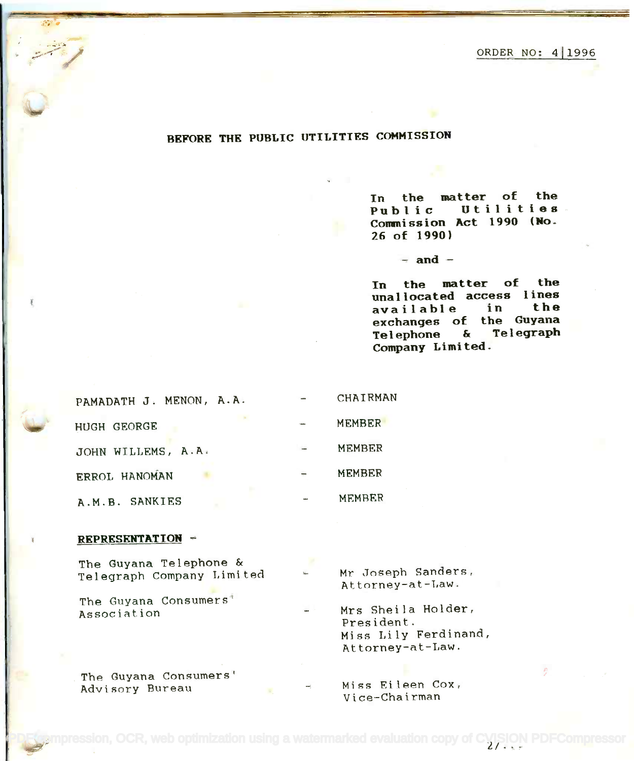ORDER NO: 411996 ORDER NO: 411996

## BEFORE THE PUBLIC UTILITIES COMMISSION

In the matter of the **In the matter of the** In the matter of the<br>Public Utilities Commission Act 1990 (No. **Commission Act 1990 (No.** 26 of 1990) **26 of 1990) Public** 

 $-$  and  $-$ 

In the matter of the **In the matter of the** unallocated access lines available in the **unallocated access 1ines** exchanges of the Guyana **exchanges of the Guyana** Telephone & Telegraph **Telephone & Telegraph** Company Limited. **Company Limited. available in the**

| PAMADATH J. MENON, A.A. | <b>CHAIRMAN</b> |
|-------------------------|-----------------|
| <b>HUGH GEORGE</b>      | <b>MEMBER</b>   |
| JOHN WILLEMS, A.A.      | MEMBER          |
| ERROL HANOMAN           | <b>MEMBER</b>   |
| A.M.B. SANKIES          | MEMBER          |

## REPRESENTATION -

The Guyana Telephone & The Guyana Telephone & Telegraph Company Limited = Mr Joseph Sanders

The Guyana Consumers' The Guyana Consumers' Association

The Guyana Consumers' .The Guyana Consumers' Advisory Bureau Miss Eileen Cox,

Mr Joseph Sanders, Attorney-at-Law. Attorney-at-Law.

Association **Mrs** Sheila Holder, President. President. Miss Lily Ferdinand, Miss Lily Ferdinand, Attorney-at-Law. At torney-at-!.aw .

> Miss Eileen Cox, Vice-Chairman Vice-Chairman

 $\overline{\text{e}}$ ssion, OCR, web optimization using a watermarked evaluation copy of CVISION PDFCompressor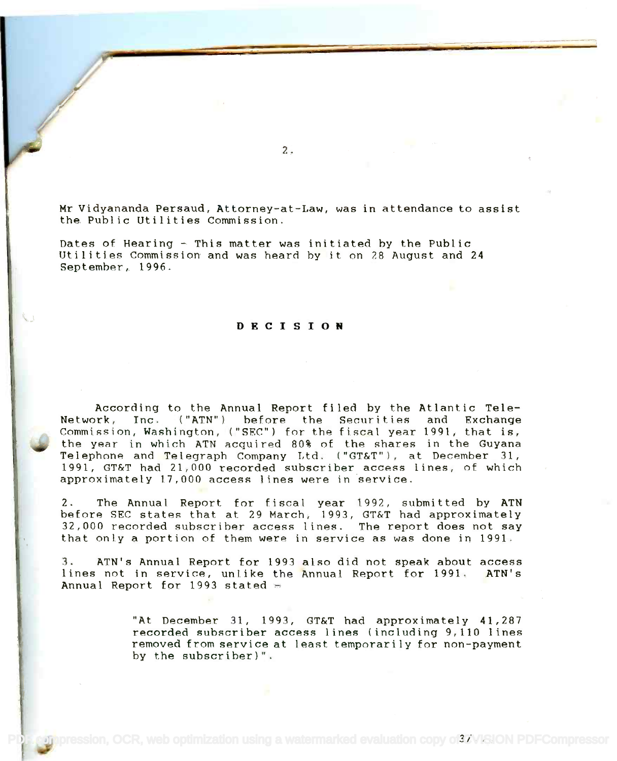Mr Vidyananda Persaud, Attorney-at-Law, was in attendance to assist Mr Vidyananda Persaud, Attorney-at-Law, was in attendance to assist the Public Utilities Commission. the Public Utilities Commission.

Dates of Hearing - This matter was initiated by the Public Dates of Hearing - This matter was initiated by the Public Utilities Commission and was heard by it on 28 August and 24 Utilities Commission and was heard by it on 28 August and 24 September, 1996. September, 1996.

## DECISION

According to the Annual Report filed by the Atlantic Tele-According to the Annual Report fi led by the Atlantic Tele-Network, Inc. ("ATN") before the Securities and Exchange Commission, Washington, ("SEC") for the fiscal year 1991, that is, Commission, Washington, ("SEe") for the fiscal year 1991, that is, the year in which ATN acquired 80% of the shares in the Guyana<br>Telephone and Telegraph Company Ltd. ("GT&T"), at December 31, 1991, GT&T had 21,000 recorded subscriber access lines, of which 1991, GT&T had 21,000 recorded subscriber access lines, of which approximately 17,000 access lines were in 'service. approximately 17,000 access lines were in service. the year in which ATN acquired 80% of the shares in the Guyana

2. The Annual Report for fiscal year 1992, submitted by ATN 2. The Annual Report for fiscal year 1992, submitted by ATN before SEC states that at 29 March, 1993, GT&T had approximately before SEC states that at 29 March, 1993, GT&T had approximately 32,000 recorded subscriber access lines. The report does not say 32,000 recorded subscriber access lines. The report does not say that only a portion of them were in service as was done in 1991. that only a portion of them were in service as was done in 1991.

3. ATN's Annual Report for 1993 also did not speak about access 3. ATN's Annual Report for 1993 also did not speak about access lines not in service, unlike the Annual Report for 1991. ATN's lines not in service, unlike the Annual Report for 1991. ATN's Annual Report for 1993 stated  $\equiv$ 

> "At December 31, 1993, GT&T had approximately 41,287 "At December 31, 1993, GT&T had approximately 41,287 recorded subscriber access lines (including 9,110 lines recorded subscriber access lines (including 9,110 lines removed from service at least temporarily for non-payment by the subscriber)". by the subscriber)".

2.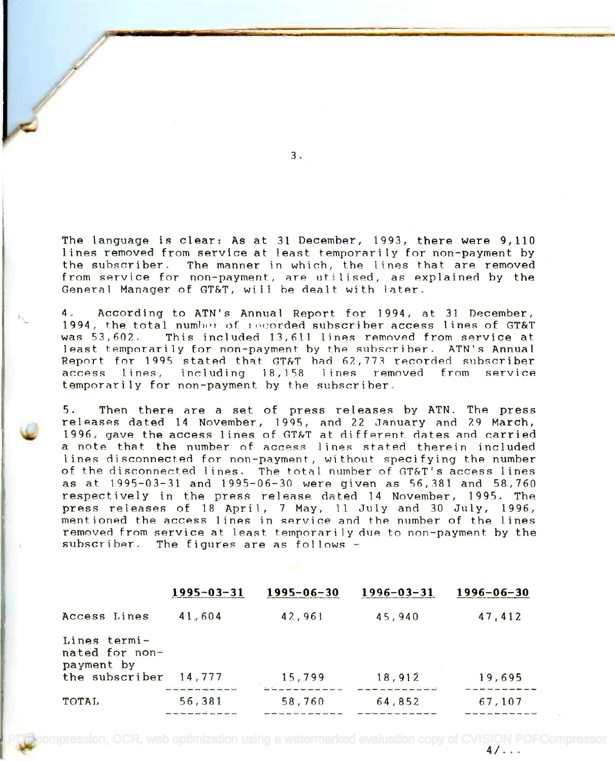The language is clear: As at 31 December, 1993, there were 9,110 The language is clear: As at 31 December, 1993, there were 9,110 lines removed from service at least temporarily for non-payment by lines removed from service at least temporarily for non-payment by the subscriber. The manner in which, the lines that are removed the subscriber. The manner in which, the lines that are removed from service for non-payment, are utilised, as explained by the General Manager of GT&T, will he dealt with later. General Manager of GT&T, will be dealt with later.

4. According to ATN's Annual Report for 1994, at 31 December, 4. According to ATN's Annual Report for 1994, at 31 December, . According to AIN's Annual Report for 1994, at 31 December,<br>1994, the total number of recorded subscriber access lines of GT&T was 53,602. This included 13,611 lines removed from service at was 53,602. This lncluded 13,611 lines removed from service at least temporarily for non-payment by the subscriber. ATN's Annual Report for 1995 stated that GT&T had 62,773 recorded subscriber access lines, including 18,158 lines removed from service access lines, including 18,1S8 lines removedfrom service temporarily for non-payment by the subscriber. temporarily for non-payment by the subscriber.

5. Then there are a set of press releases by ATN. The press p. Then there are a set of press refeases by AIN. The press<br>releases dated 14 November, 1995, and 22 January and 29 March, 1996, gave the access lines of GT &T at different dates and carried 1996, gave the access lines of GT&T at different. dates and carried a note that the number of access lines stated therein included lines disconnected for non-payment, without specifying the number of the disconnected lines. The total number of GT&T's access lines of the disconnected lines. The total number of GT&T's access lines as at 1995-03-31 and 1995-06-30 were given as 56,381 and 58,760 as at 1995-03-31 and 1995-06-30 were given as 56,381 and 58,760 respectively in the press release dated 14 November, 1995. The respectively in the press release dated 14 November, 1995. The press releases of 18 April, <sup>7</sup> May, 11 July and 30 July, 1996, press releases of 18 April, 7 May, 11 July and 30 July, 1996, mentioned the access lines in service and the number of the lines mentioned the access lines in service and the number of the lines removed from service at least temporarily due to non-payment by the subscriber. The figures are as follows -

| $1995 - 03 - 31$                         | $1995 - 06 - 30$ | $1996 - 03 - 31$ | $1996 - 06 - 30$ |
|------------------------------------------|------------------|------------------|------------------|
| 41,604                                   | 42,961           | 45,940           | 47,412           |
| the subscriber                           |                  |                  | 19,695           |
| أبدنا بعد يتكر بعدرتهما كمدانين والمتحدث |                  |                  |                  |
| 56,381                                   | 58,760           | 64,852           | 67,107           |
|                                          | 14,777           | 15,799           | 18,912           |

 $\frac{1}{2}$ pompression, OCR, web optimization using a watermarked evaluation copy of CVISION PDFCompressor<br>4/

3.

/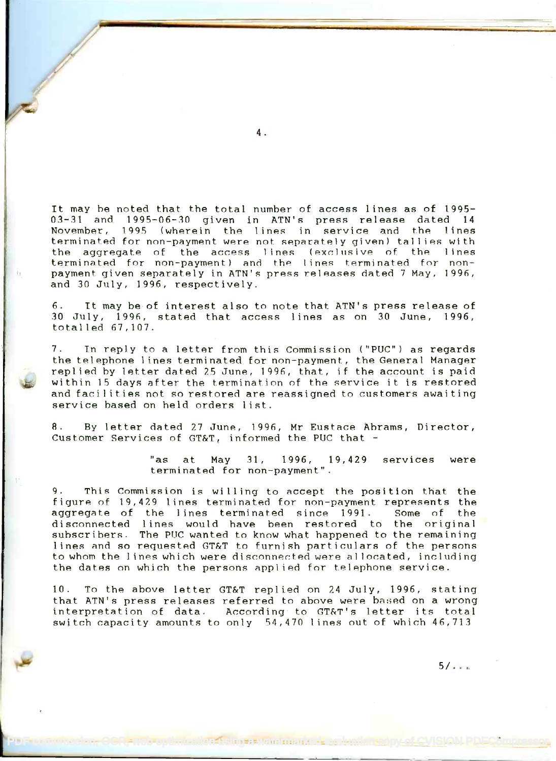It may be noted that the total number of access lines as of 1995- It may be noted that the total number of access lines as of 1995- 03-31 and 1995-06-30 given in ATN's press release dated 14 03-31 and 1995-06-30 given in ATN's press release dated **14** November, 1995 (wherein the lines in service and the lines November, 1995 (wherein the lines In service and the lines terminated for non-payment were not separately given) tallies with terminated for non-payment were not separately given) tal lies with the aggregate of the access lines (exclusive of the lines terminated for non-payment) and the lines terminated for non- $\mathfrak{h}=\emptyset$  payment given separately in ATN's press releases dated 7 May, 1996, and 30 July, 1996, respectively. and 30 July, 1996, respectively.

6. It may be of interest also to note that ATN's press release of 6. It may be of interest also to note that ATN's press release of 30 July, 1996, stated that access lines as on 30 June, 1996, 30 July, 1996, stated that access lines as on 30 June, 1996, totalled 67,107. totalled 67,107.

7. In reply to a letter from this Commission ("PUC") as regards 7. In reply to a letter from this Commission ("PUC") as regards the telephone lines terminated for non-payment, the General Manager replied by letter dated 25 June, 1996, that, if the account is paid within 15 days after the termination of the service it is restored within 15 days after the termination of the service it is restored and facilities not so restored are reassigned to customers awaiting service based on held orders list. service based on held orders list.

8. By letter dated 27 June, 1996, Mr Eustace Abrams, Director, Customer Services of  $\mathtt{GT\&T}_t$  informed the PUC that -

> "as at May 31, 1996, 19,429 services were terminated for non-payment". terminated for non-payment".

9. This Commission is willing to accept the position that the figure of 19,429 lines terminated for non-payment represents the figure of 19,429 lines terminated for non-payment represents the aggregate of the lines terminated since 1991. Some of the disconnected lines would have been restored to the original disconnected lines would have been restored to the original subscribers. The PUC wanted to know what happened to the remaining suhscrlbers. The PUC wanted to know what happened to the remaining lines and so requested GT&T to furnish particulars of the persons lines and so requested GT&T to furnish particulars of the persons to whom the lines which were disconnected were allocated, including to whom the Iines which were discnnnec:ted were allocated, Including the dates on which the persons applied for telephone service. the dates on which the persons applied for telephone service.

10. To the above letter GT&T replied on 24 July, 1996, stating that ATN's press releases referred to above were based on a wrong that ATN's press releases referred to above were hased on a wrong interpretation of data. According to GT&T's letter its total interpretation of data. According to GT&T's letter its total switch capacity amounts to only 54,470 lines out of which 46,713 switch capacity amounts to only S4,470 lines out of which 46,713

POF COMPRESSION, OCR, WEB OPTIMIZATION OF COPY OF COPY OF COPY OF COPY OF COPY OF COPY OF COPY OF COPY OF COPY

4.

 $5/1.1$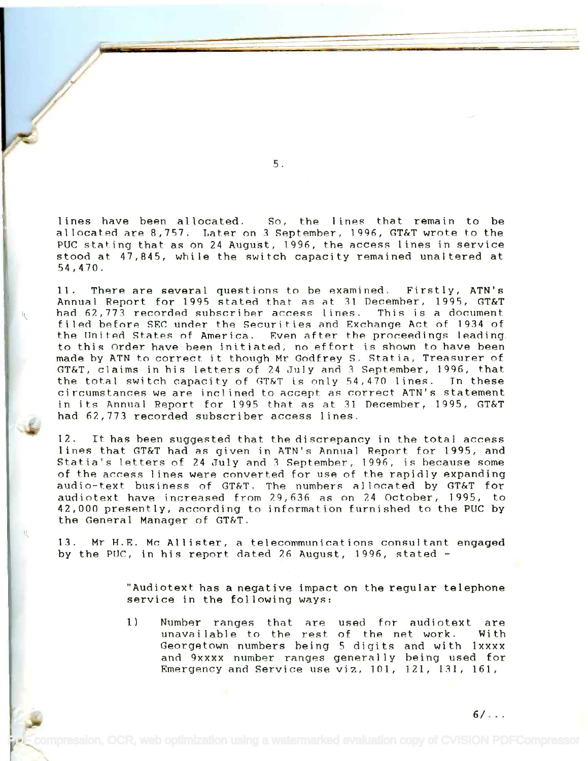lines have been allocated. So, the lines that remain to be lines have been allocated. So, the lines that remain to be allocated are 8,757. Later on 3 September, 1996, GT&T wrote to the allocated are 8,757. Later on 3 September, 1996, GT&T wrote to the PUC stating that as on 24 August, 1996, the access lines in service PUC stating that as on 24 August, 1996, the access lines in service stood at 47,845, while the switch capacity remained unaltered at stood at 47,845, while the switch capacity remained unaltered at 54,470. 54,470.

11. There are several questions to be examined. Firstly, ATN's 11. There are several questions to be examined. Firstly,ATN's Annual Report for 1995 stated that as at 31 December, 1995, GT&T Annual Report for 1995 stated that as at 31 December, 1995, GI&I<br>{\download 62,773 recorded subscriber access lines. This is a document filed before SEC under the Securities and Exchange Act of 1934 of filed before SEC under the Securities and Exchange Act of ]934 of the United States of America. Even after the proceedings leading. to this Order have been initiated, no effort is shown to have been to this Order have been initiated, no effort is shown to have been made by ATN to correct it though Mr Godfrey S. Statia, Treasurer of made by ATN to correct it though Mr Godfrey S. Statia, Treasurer of GT&T, claims in his letters of 24 July and 3 September, 1996, that GT&T, claims in his letters of 24 July and 3 September, 1996, that the total switch capacity of GT&T is only 54,470 lines. In these the total switch capacity of GT&T is only 54,470 lines. In these circumstances we are inclined to accept as correct ATN's statement circumstances we are incl ined to accept as correct ATN's statement in its Annual Report for 1995 that as at 31 December, 1995, GT&T in its Annual Report for 1995 that as at 31 December, 1995, GT&T had 62,773 recorded subscriber access lines. had 62,773 recorded subscriber access lines.

12. It has been suggested that the discrepancy in the total access lines that GT&T had as given in ATN's Annual Report for 1995, and lines that GT&T had as given in ATN's Annual Report for 1995, and Statia's letters of 24 July and 3 September, 1996, is because some of the access lines were converted for use of the rapidly expanding audio-text business of GT&T. The numbers allocated by GT&T for audiotext have increased from 29,636 as on 24 October, 1995, to audiotext have increased from 29,636 as on 24 October, 1995, to 42,000 presently, according to information furnished to the PUC by 42,000 presently, according to information furnished to the PUC by the General Manager of GT&T. the General Manager of GT&T.

13. Mr. H.E. Mc Allister, a telecommunications consultant engaged 13. Mr H.E. Mc Allister, a telecommunications consultant engaged by the PUC, in his report dated 26 August, 1996, stated - by the PUC, in his report dated 26 August, 1996, stated -

> "Audiotext has a negative impact on the regular telephone "Audiotext has a negative impact on the regular telephone service in the following ways: service in the following ways:

1) Number ranges that are used for audiotext are 1) Number ranges that are used for audiotext are unavailable to the rest of the net work. With unavai lable to the rest. of the net work. Wi th Georgetown numbers being 5 digits and with lxxxx Georgetown numbers being 5 digits and with lxxxx and 9xxxx number ranges generally being used for and 9xxxx number ranges genera I I<sup>y</sup> be ing used for Emergency and Service use viz, 101, 121, 131, 161, Emergency and Service use viz, 101, 121, 131, 161,

5.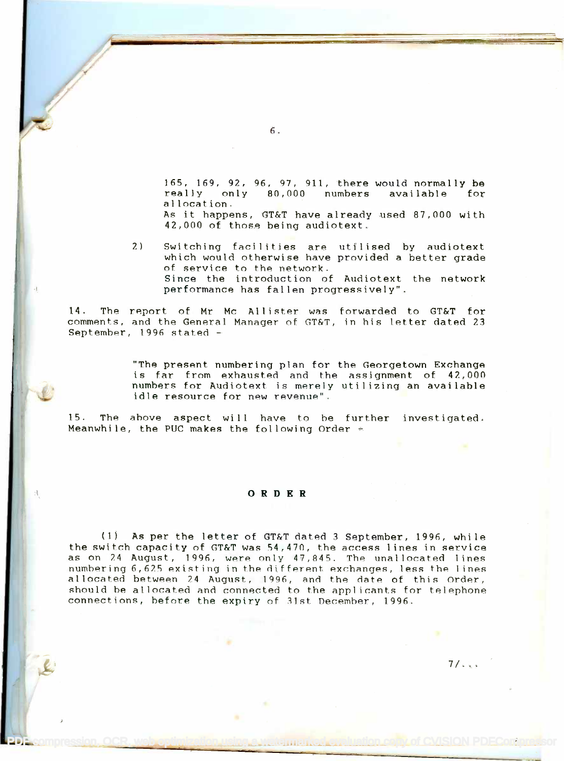165, 169, 92, 96, 97, 911, there would normally be ]65,169,92,96,97,911, there would normally be really only 80,000 numbers available for really only 80,000 numbers available for allocation. allocation. As it happens, GT&T have already used 87,000 with As it happens, GT&T have already used 87,000 with

42,000 of those being audiotext. 42,000 of those being audiotext. 2) Switching facilities are utilised by audiotext 2) Switching facilities are utilised by audiotext

which would otherwise have provided a better grade which would otherwise have provided a better grade of service to the network. of service to the network. Since the introduction of Audiotext the network Since the introduction of Audiotext the network performance has fallen progressively". performance has fallen progressively".

14. The report of Mr Mc Allister was forwarded to GT&T for 14. The n~port of Mr Mc Allister was forwarded to GT&T for comments, and the General Manager of GT&T, in his letter dated 23 comments, and the General Manager of GT&T, in his letter dated 23 September, 1996 stated - September, 1996 stated -

> "The present numbering plan for the Georgetown Exchange "The present numbering plan for the Georgetown Exchange is far from exhausted and the assignment of 42,000 is far from exhausted and the assignment of 42,000 numbers for Audiotext is merely utilizing an available numbers for Audiotext is merely utilizing an available idle resource for new revenue". idle resource for new revenue".

15. The above aspect will have to he further investigated. 15. The above aspect will have to be further investigated. Meanwhile, the PUC makes the following Order  $\in$ 

## ORDER

(1) As per the letter of GT&T dated 3 September, 1996, while (1) As per the letter of GT&T dated 3 September, 1996, while the switch capacity of GT&T was 54,470, the access lines in service the switch capacity of GT&T was 54,470, the access lines in service as on 24 August, 1996, were only 47,845. The unallocated lines numbering 6,625 existing in the different exchanges, less the lines where  $\sim$ allocated between 24 August, 1996, and the date of this Order, should be allocated and connected to the applicants for telephone should be allocated and connected to the appl icants for telephone connections, before the expiry of 31st December, 1996. connections, before the expiry of 3]st December, 1996.

[PDF compression, OCR, web optimization using a watermarked evaluation copy of CVISION PDFCompressor](http://www.cvisiontech.com)

 $7/\sqrt{2}$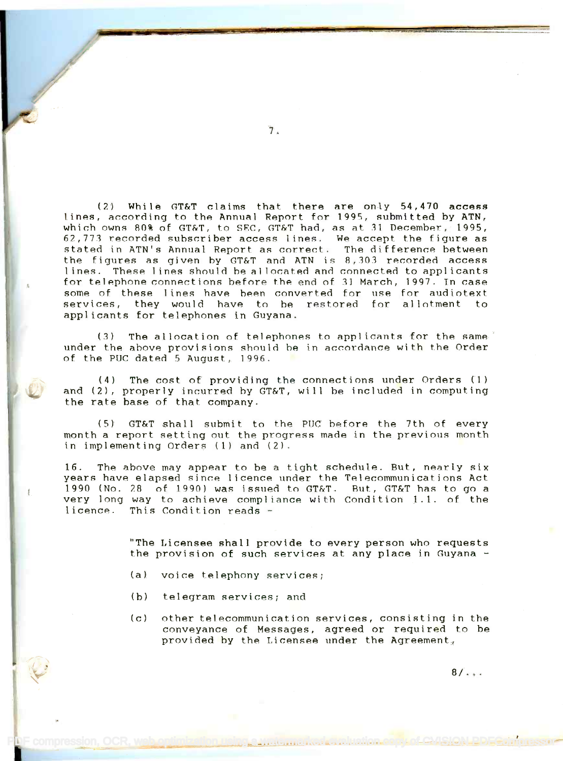(2) While GT&T claims that there are only 54,470 access (2) While GT&T claims that there are only 54,470 access lines, according to the Annual Report for 1995, submitted by ATN, lines, according to the Annual Report for 1995, submitted by ATN, which owns 80% of GT&T, to SEC, GT&T had, as at 31 December, 1995, 62,773 recorded subscriber access lines. We accept the figure as 62,771 recorded subscriber access lines. We accept the figure as stated in ATN's Annual Report as correct. The difference between the figures as given by GT&T and ATN is 8,303 recorded access lines. These lines should be allocated and connected to applicants lines. These Iines should be al located and connected to appl icants for telephone connections before the end of 31 March, 1997. In case some of these lines have been converted for use for audiotext some of these lines have been converted for use for audiotext services, they would have to be restored for allotment to applicants for telephones in Guyana. applicants for telephones in Guyana.

(3) The allocation of telephones to applicants for the same' under the above provisions should he in accordance with the Order under the above provisions should he in accordance with the order of the PUC dated 5 August,  $1996$ .

(4) The cost of providing the connections under Orders (1) (4) The cost of providing the connections under Orders (1) and (2), properly incurred by GT&T, will be included in computing and (2), properly incurred by GT&T, will be included in computing the rate base of that company. the rate base of that company.

(5) GT&T shall submit to the PUC before the 7th of every month a report setting out the progress made in the previous month month a report setting out the progress made in the previous month in implementing Orders (1) and (2). in implementing Orders (1) and (2).

16. The above may appear to be a tight schedule. But, nearly six 16. The above may appear to be a tight schedllie. But, nearly six years have elapsed since licence under the Telecommunications Act years have elapsed since licence under the Telecommunications Act 1990 (No. 28 of 1990) was issued to GT&T. But, GT&T has to go a 1990 (No. 28 of 1990) was issued to GT&T. But, GT&T has to go a very long way to achieve compliance with Condition 1.1. of the very long way to achieve compliance with Condition 1.1. of the licence. This Condition reads licence. This Condition reads -

> "The Licensee shall provide to every person who requests "The Licensee shall provide to every person who requests the provision of such services at any place in Guyana - the provision of such services at any place in Guyana -

- (a) voice telephony services;
- (b) telegram services; and

Proompression, OCR, web optimization using a watermarked eva

(c) other telecommunication services, consisting in the conveyance of Messages, agreed or required to be provided by the Licensee under the Agreement $_\pi$ 

 $8/$ ...

1